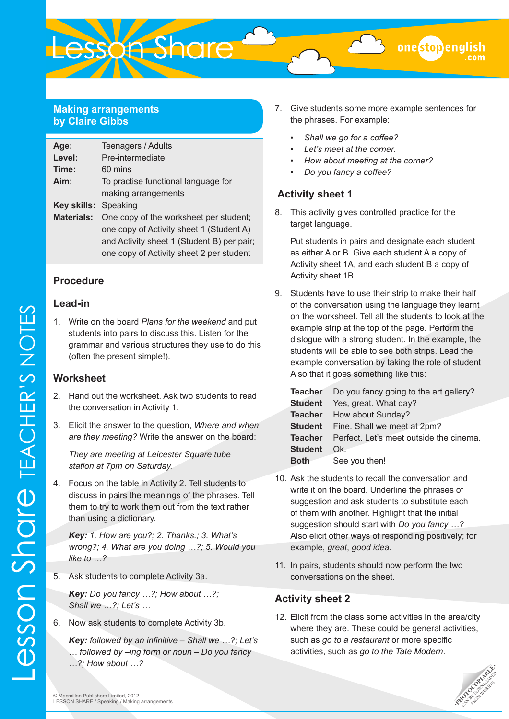

#### **Making arrangements by Claire Gibbs**

| Age:                 | Teenagers / Adults                         |
|----------------------|--------------------------------------------|
| Level:               | Pre-intermediate                           |
| Time:                | 60 mins                                    |
| Aim:                 | To practise functional language for        |
|                      | making arrangements                        |
| Key skills: Speaking |                                            |
| <b>Materials:</b>    | One copy of the worksheet per student;     |
|                      | one copy of Activity sheet 1 (Student A)   |
|                      | and Activity sheet 1 (Student B) per pair; |
|                      | one copy of Activity sheet 2 per student   |

#### **Procedure**

#### **Lead-in**

1. Write on the board *Plans for the weekend* and put students into pairs to discuss this. Listen for the grammar and various structures they use to do this (often the present simple!).

#### **Worksheet**

- 2. Hand out the worksheet. Ask two students to read the conversation in Activity 1.
- 3. Elicit the answer to the question, *Where and when are they meeting?* Write the answer on the board:

*They are meeting at Leicester Square tube station at 7pm on Saturday.*

4. Focus on the table in Activity 2. Tell students to discuss in pairs the meanings of the phrases. Tell them to try to work them out from the text rather than using a dictionary.

*Key: 1. How are you?; 2. Thanks.; 3. What's wrong?; 4. What are you doing …?; 5. Would you like to …?*

5. Ask students to complete Activity 3a.

*Key: Do you fancy …?; How about …?; Shall we …?; Let's …*

- 6. Now ask students to complete Activity 3b.
	- *Key: followed by an infinitive Shall we …?; Let's … followed by –ing form or noun – Do you fancy …?; How about …?*

7. Give students some more example sentences for the phrases. For example:

onestopenglish

- Shall we go for a coffee?
- *• Let's meet at the corner.*
- *• How about meeting at the corner?*
- *• Do you fancy a coffee?*

#### **Activity sheet 1**

8. This activity gives controlled practice for the target language.

Put students in pairs and designate each student as either A or B. Give each student A a copy of Activity sheet 1A, and each student B a copy of Activity sheet 1B.

9. Students have to use their strip to make their half of the conversation using the language they learnt on the worksheet. Tell all the students to look at the example strip at the top of the page. Perform the dislogue with a strong student. In the example, the students will be able to see both strips. Lead the example conversation by taking the role of student A so that it goes something like this:

|                | <b>Teacher</b> Do you fancy going to the art gallery? |
|----------------|-------------------------------------------------------|
|                | <b>Student</b> Yes, great. What day?                  |
|                | <b>Teacher</b> How about Sunday?                      |
|                | <b>Student</b> Fine. Shall we meet at 2pm?            |
|                | Teacher Perfect. Let's meet outside the cinema.       |
| <b>Student</b> | Ok.                                                   |
| <b>Both</b>    | See you then!                                         |

- 10. Ask the students to recall the conversation and write it on the board. Underline the phrases of suggestion and ask students to substitute each of them with another. Highlight that the initial suggestion should start with *Do you fancy …?*  Also elicit other ways of responding positively; for example, *great*, *good idea*.
- 11. In pairs, students should now perform the two conversations on the sheet.

#### **Activity sheet 2**

12. Elicit from the class some activities in the area/city where they are. These could be general activities, such as *go to a restaurant* or more specific activities, such as *go to the Tate Modern*.

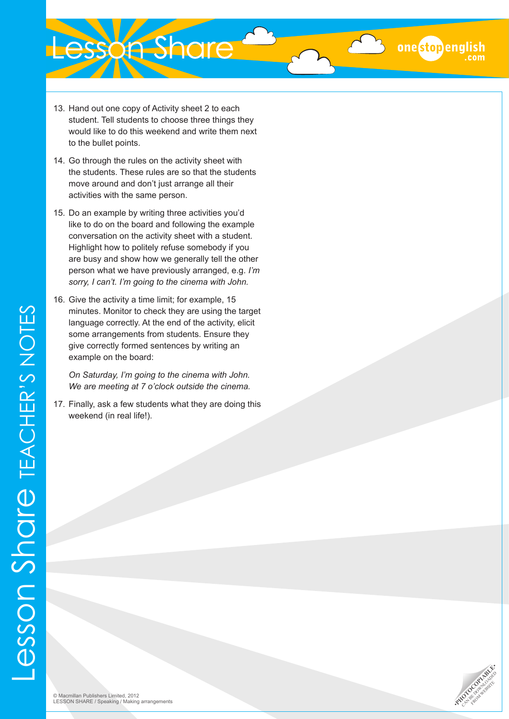# **Lesson Share**

- 13. Hand out one copy of Activity sheet 2 to each student. Tell students to choose three things they would like to do this weekend and write them next to the bullet points.
- 14. Go through the rules on the activity sheet with the students. These rules are so that the students move around and don't just arrange all their activities with the same person.
- 15. Do an example by writing three activities you'd like to do on the board and following the example conversation on the activity sheet with a student. Highlight how to politely refuse somebody if you are busy and show how we generally tell the other person what we have previously arranged, e.g. *I'm sorry, I can't. I'm going to the cinema with John.*
- 16. Give the activity a time limit; for example, 15 minutes. Monitor to check they are using the target language correctly. At the end of the activity, elicit some arrangements from students. Ensure they give correctly formed sentences by writing an example on the board:

*On Saturday, I'm going to the cinema with John. We are meeting at 7 o'clock outside the cinema.*

17. Finally, ask a few students what they are doing this weekend (in real life!).



onestopenglish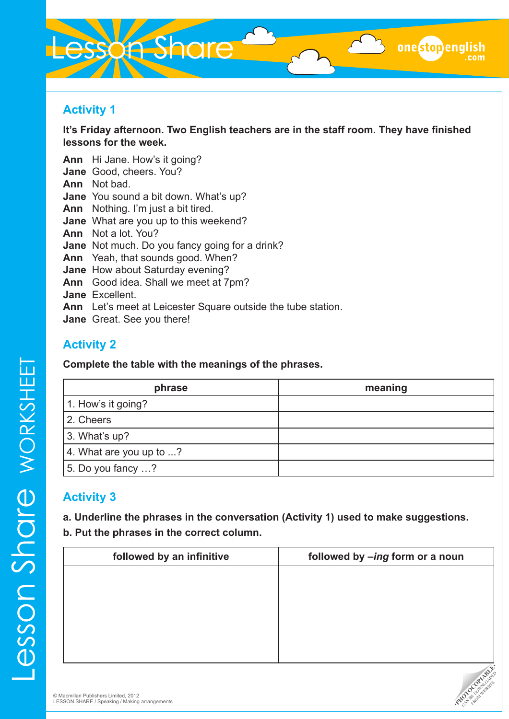# esson Share

## **Activity 1**

**It's Friday afternoon. Two English teachers are in the staff room. They have finished lessons for the week.**

**Ann** Hi Jane. How's it going? **Jane** Good, cheers. You? **Ann** Not bad. **Jane** You sound a bit down. What's up? **Ann** Nothing. I'm just a bit tired. **Jane** What are you up to this weekend? **Ann** Not a lot. You? **Jane** Not much. Do you fancy going for a drink? **Ann** Yeah, that sounds good. When? **Jane** How about Saturday evening? **Ann** Good idea. Shall we meet at 7pm? **Jane** Excellent. **Ann** Let's meet at Leicester Square outside the tube station. **Jane** Great. See you there!

# **Activity 2**

**Complete the table with the meanings of the phrases.**

| phrase                           | meaning |
|----------------------------------|---------|
| 1. How's it going?               |         |
| 2. Cheers                        |         |
| $3.$ What's up?                  |         |
| 4. What are you up to $\ldots$ ? |         |
| 5. Do you fancy ?                |         |

# **Activity 3**

**a. Underline the phrases in the conversation (Activity 1) used to make suggestions. b. Put the phrases in the correct column.**

| followed by an infinitive | followed by -ing form or a noun |
|---------------------------|---------------------------------|
|                           |                                 |
|                           |                                 |
|                           |                                 |
|                           |                                 |
|                           |                                 |
|                           | $\mathcal{S}$                   |



onestopenglish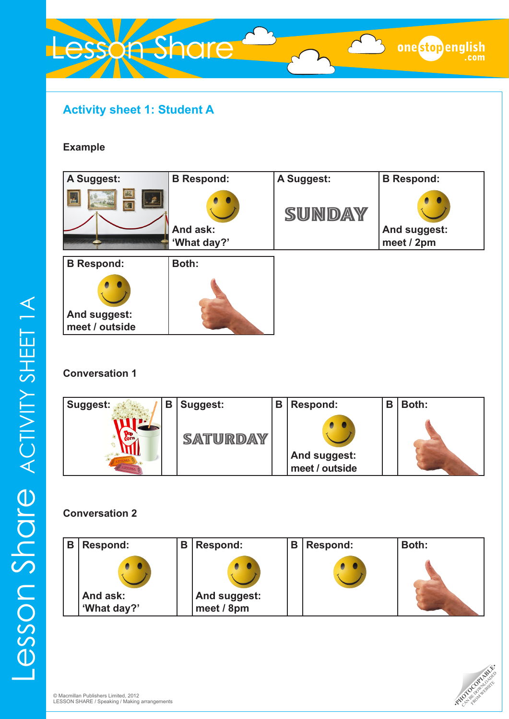# **Activity sheet 1: Student A**

Lesson Share

#### **Example**

### **Conversation 1**

| <b>Suggest:</b> | В | Suggest: | В | <b>Respond:</b>                       | B | Both: |
|-----------------|---|----------|---|---------------------------------------|---|-------|
|                 |   | SATURDAY |   | <b>And suggest:</b><br>meet / outside |   |       |

### **Conversation 2**

| В | <b>Respond:</b> | В | Respond:     | В | <b>Respond:</b> | Both: |
|---|-----------------|---|--------------|---|-----------------|-------|
|   |                 |   |              |   | 0               |       |
|   | And ask:        |   | And suggest: |   |                 |       |
|   | 'What day?'     |   | meet / 8pm   |   |                 |       |



onestopenglish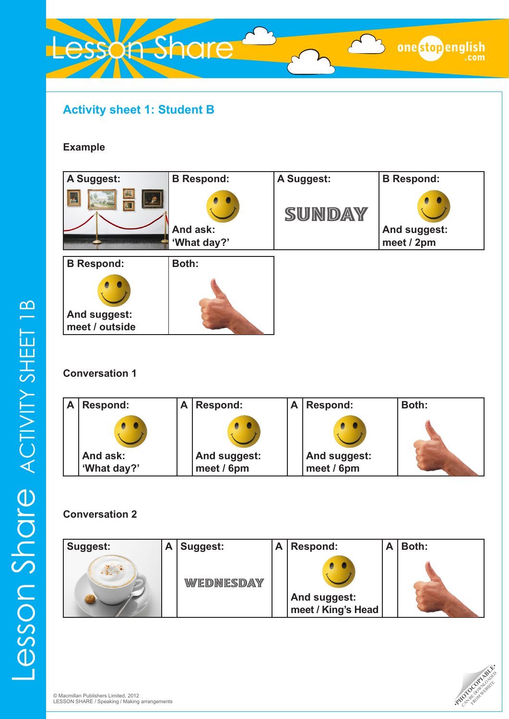# **Activity sheet 1: Student B**

Lesson Share

#### **Example**

### **Conversation 1**

| Α | Respond:                | Α | <b>Respond:</b>            | A | Respond:                   | Both: |
|---|-------------------------|---|----------------------------|---|----------------------------|-------|
|   |                         |   |                            |   |                            |       |
|   | And ask:<br>'What day?' |   | And suggest:<br>meet / 6pm |   | And suggest:<br>meet / 6pm |       |

#### **Conversation 2**

| Suggest: | A | Suggest:  | A | <b>Respond:</b>                           | Both: |
|----------|---|-----------|---|-------------------------------------------|-------|
|          |   | WEDNESDAY |   |                                           |       |
|          |   |           |   | <b>And suggest:</b><br>meet / King's Head |       |



onestopenglish

 $\Omega$  $\equiv$